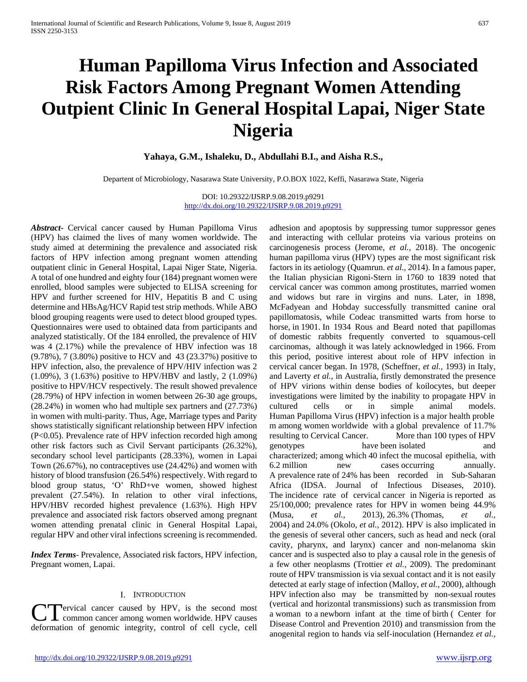# **Human Papilloma Virus Infection and Associated Risk Factors Among Pregnant Women Attending Outpient Clinic In General Hospital Lapai, Niger State Nigeria**

**Yahaya, G.M., Ishaleku, D., Abdullahi B.I., and Aisha R.S.,**

Departent of Microbiology, Nasarawa State University, P.O.BOX 1022, Keffi, Nasarawa State, Nigeria

DOI: 10.29322/IJSRP.9.08.2019.p9291 <http://dx.doi.org/10.29322/IJSRP.9.08.2019.p9291>

*Abstract***-** Cervical cancer caused by Human Papilloma Virus (HPV) has claimed the lives of many women worldwide. The study aimed at determining the prevalence and associated risk factors of HPV infection among pregnant women attending outpatient clinic in General Hospital, Lapai Niger State, Nigeria. A total of one hundred and eighty four (184) pregnant women were enrolled, blood samples were subjected to ELISA screening for HPV and further screened for HIV, Hepatitis B and C using determine and HBsAg/HCV Rapid test strip methods. While ABO blood grouping reagents were used to detect blood grouped types. Questionnaires were used to obtained data from participants and analyzed statistically. Of the 184 enrolled, the prevalence of HIV was 4 (2.17%) while the prevalence of HBV infection was 18 (9.78%), 7 (3.80%) positive to HCV and 43 (23.37%) positive to HPV infection, also, the prevalence of HPV/HIV infection was 2 (1.09%), 3 (1.63%) positive to HPV/HBV and lastly, 2 (1.09%) positive to HPV/HCV respectively. The result showed prevalence (28.79%) of HPV infection in women between 26-30 age groups, (28.24%) in women who had multiple sex partners and (27.73%) in women with multi-parity. Thus, Age, Marriage types and Parity shows statistically significant relationship between HPV infection (P<0.05). Prevalence rate of HPV infection recorded high among other risk factors such as Civil Servant participants (26.32%), secondary school level participants (28.33%), women in Lapai Town (26.67%), no contraceptives use (24.42%) and women with history of blood transfusion (26.54%) respectively. With regard to blood group status, 'O' RhD+ve women, showed highest prevalent (27.54%). In relation to other viral infections, HPV/HBV recorded highest prevalence (1.63%). High HPV prevalence and associated risk factors observed among pregnant women attending prenatal clinic in General Hospital Lapai, regular HPV and other viral infections screening is recommended.

*Index Terms*- Prevalence, Associated risk factors, HPV infection, Pregnant women, Lapai.

#### I. INTRODUCTION

**Pervical cancer caused by HPV, is the second most** CT Tervical cancer caused by HPV, is the second most deformation of genomic integrity, control of cell cycle, cell

<http://dx.doi.org/10.29322/IJSRP.9.08.2019.p9291> [www.ijsrp.org](http://ijsrp.org/)

adhesion and apoptosis by suppressing tumor suppressor genes and interacting with cellular proteins via various proteins on carcinogenesis process (Jerome, *et al.,* 2018). The oncogenic human papilloma virus (HPV) types are the most significant risk factors in its aetiology (Quamrun. *et al.,* 2014). In a famous paper, the Italian physician Rigoni-Stern in 1760 to 1839 noted that cervical cancer was common among prostitutes, married women and widows but rare in virgins and nuns. Later, in 1898, McFadyean and Hobday successfully transmitted canine oral papillomatosis, while Codeac transmitted warts from horse to horse, in 1901. In 1934 Rous and Beard noted that papillomas of domestic rabbits frequently converted to squamous-cell carcinomas, although it was lately acknowledged in 1966. From this period, positive interest about role of HPV infection in cervical cancer began. In 1978, (Scheffner, *et al.,* 1993) in Italy, and Laverty *et al.,* in Australia, firstly demonstrated the presence of HPV virions within dense bodies of koilocytes, but deeper investigations were limited by the inability to propagate HPV in cultured cells or in simple animal models. Human Papilloma Virus (HPV) infection is a major health proble m among women worldwide with a global prevalence of 11.7% resulting to Cervical Cancer. More than 100 types of HPV genotypes have been isolated and characterized; among which 40 infect the mucosal epithelia, with 6.2 million new cases occurring annually. A prevalence rate of 24% has been recorded in Sub-Saharan Africa (IDSA. Journal of Infectious Diseases, 2010). The incidence rate of cervical cancer in Nigeria is reported as 25/100,000; prevalence rates for HPV in women being 44.9% (Musa, *et al.,* 2013), 26.3% (Thomas, *et al.,* 2004) and 24.0% (Okolo, *et al.,* 2012). HPV is also implicated in the genesis of several other cancers, such as head and neck (oral cavity, pharynx, and larynx) cancer and non-melanoma skin cancer and is suspected also to play a causal role in the genesis of a few other neoplasms (Trottier *et al.,* 2009). The predominant route of HPV transmission is via sexual contact and it is not easily detected at early stage of infection (Malloy, *et al.,* 2000), although HPV infection also may be transmitted by non-sexual routes (vertical and horizontal transmissions) such as transmission from a woman to a newborn infant at the time of birth ( Center for Disease Control and Prevention 2010) and transmission from the anogenital region to hands via self-inoculation (Hernandez *et al.,*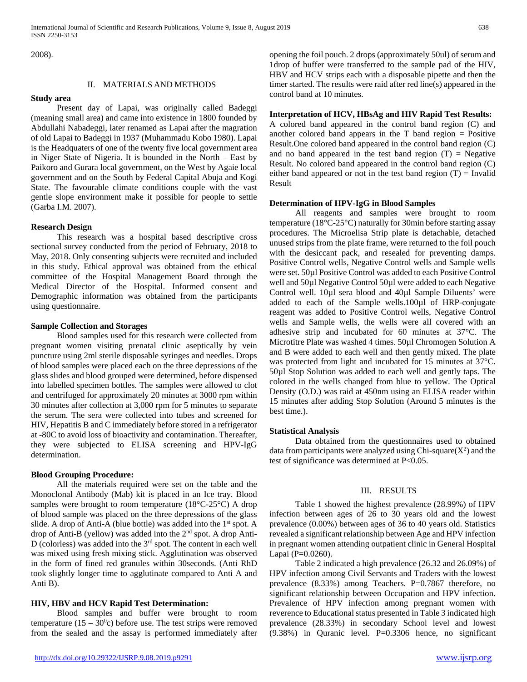2008).

# II. MATERIALS AND METHODS

## **Study area**

# Present day of Lapai, was originally called Badeggi (meaning small area) and came into existence in 1800 founded by Abdullahi Nabadeggi, later renamed as Lapai after the magration of old Lapai to Badeggi in 1937 (Muhammadu Kobo 1980). Lapai is the Headquaters of one of the twenty five local government area in Niger State of Nigeria. It is bounded in the North – East by Paikoro and Gurara local government, on the West by Agaie local government and on the South by Federal Capital Abuja and Kogi State. The favourable climate conditions couple with the vast gentle slope environment make it possible for people to settle (Garba I.M. 2007).

#### **Research Design**

 This research was a hospital based descriptive cross sectional survey conducted from the period of February, 2018 to May, 2018. Only consenting subjects were recruited and included in this study. Ethical approval was obtained from the ethical committee of the Hospital Management Board through the Medical Director of the Hospital. Informed consent and Demographic information was obtained from the participants using questionnaire.

#### **Sample Collection and Storages**

 Blood samples used for this research were collected from pregnant women visiting prenatal clinic aseptically by vein puncture using 2ml sterile disposable syringes and needles. Drops of blood samples were placed each on the three depressions of the glass slides and blood grouped were determined, before dispensed into labelled specimen bottles. The samples were allowed to clot and centrifuged for approximately 20 minutes at 3000 rpm within 30 minutes after collection at 3,000 rpm for 5 minutes to separate the serum. The sera were collected into tubes and screened for HIV, Hepatitis B and C immediately before stored in a refrigerator at -80C to avoid loss of bioactivity and contamination. Thereafter, they were subjected to ELISA screening and HPV-IgG determination.

#### **Blood Grouping Procedure:**

 All the materials required were set on the table and the Monoclonal Antibody (Mab) kit is placed in an Ice tray. Blood samples were brought to room temperature (18°C-25°C) A drop of blood sample was placed on the three depressions of the glass slide. A drop of Anti-A (blue bottle) was added into the 1<sup>st</sup> spot. A drop of Anti-B (yellow) was added into the 2<sup>nd</sup> spot. A drop Anti-D (colorless) was added into the  $3<sup>rd</sup>$  spot. The content in each well was mixed using fresh mixing stick. Agglutination was observed in the form of fined red granules within 30seconds. (Anti RhD took slightly longer time to agglutinate compared to Anti A and Anti B).

#### **HIV, HBV and HCV Rapid Test Determination:**

 Blood samples and buffer were brought to room temperature  $(15 - 30^0c)$  before use. The test strips were removed from the sealed and the assay is performed immediately after

HBV and HCV strips each with a disposable pipette and then the timer started. The results were raid after red line(s) appeared in the control band at 10 minutes.

# **Interpretation of HCV, HBsAg and HIV Rapid Test Results:**

A colored band appeared in the control band region (C) and another colored band appears in the  $T$  band region  $=$  Positive Result.One colored band appeared in the control band region (C) and no band appeared in the test band region  $(T)$  = Negative Result. No colored band appeared in the control band region (C) either band appeared or not in the test band region  $(T)$  = Invalid Result

# **Determination of HPV-IgG in Blood Samples**

 All reagents and samples were brought to room temperature (18°C-25°C) naturally for 30min before starting assay procedures. The Microelisa Strip plate is detachable, detached unused strips from the plate frame, were returned to the foil pouch with the desiccant pack, and resealed for preventing damps. Positive Control wells, Negative Control wells and Sample wells were set. 50µl Positive Control was added to each Positive Control well and 50µl Negative Control 50µl were added to each Negative Control well. 10µl sera blood and 40µl Sample Diluents' were added to each of the Sample wells.100µl of HRP-conjugate reagent was added to Positive Control wells, Negative Control wells and Sample wells, the wells were all covered with an adhesive strip and incubated for 60 minutes at 37°C. The Microtitre Plate was washed 4 times. 50µl Chromogen Solution A and B were added to each well and then gently mixed. The plate was protected from light and incubated for 15 minutes at 37°C. 50µl Stop Solution was added to each well and gently taps. The colored in the wells changed from blue to yellow. The Optical Density (O.D.) was raid at 450nm using an ELISA reader within 15 minutes after adding Stop Solution (Around 5 minutes is the best time.).

## **Statistical Analysis**

 Data obtained from the questionnaires used to obtained data from participants were analyzed using Chi-square $(X^2)$  and the test of significance was determined at P<0.05.

## III. RESULTS

 Table 1 showed the highest prevalence (28.99%) of HPV infection between ages of 26 to 30 years old and the lowest prevalence (0.00%) between ages of 36 to 40 years old. Statistics revealed a significant relationship between Age and HPV infection in pregnant women attending outpatient clinic in General Hospital Lapai (P=0.0260).

 Table 2 indicated a high prevalence (26.32 and 26.09%) of HPV infection among Civil Servants and Traders with the lowest prevalence (8.33%) among Teachers. P=0.7867 therefore, no significant relationship between Occupation and HPV infection. Prevalence of HPV infection among pregnant women with reverence to Educational status presented in Table 3 indicated high prevalence (28.33%) in secondary School level and lowest (9.38%) in Quranic level. P=0.3306 hence, no significant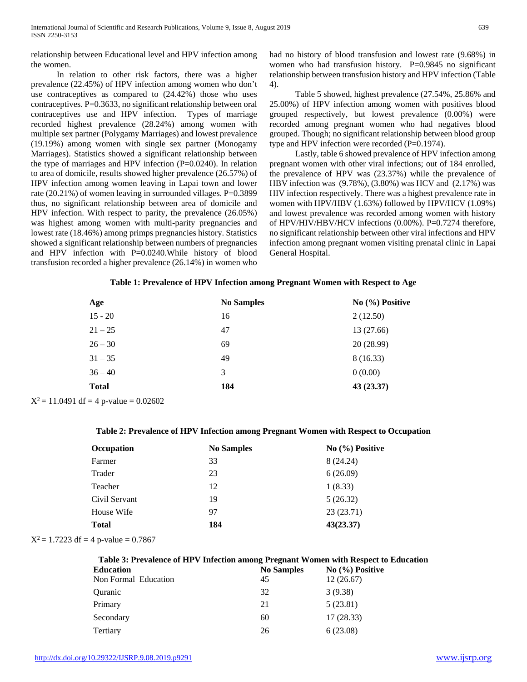relationship between Educational level and HPV infection among the women.

 In relation to other risk factors, there was a higher prevalence (22.45%) of HPV infection among women who don't use contraceptives as compared to (24.42%) those who uses contraceptives. P=0.3633, no significant relationship between oral contraceptives use and HPV infection. Types of marriage recorded highest prevalence (28.24%) among women with multiple sex partner (Polygamy Marriages) and lowest prevalence (19.19%) among women with single sex partner (Monogamy Marriages). Statistics showed a significant relationship between the type of marriages and HPV infection (P=0.0240). In relation to area of domicile, results showed higher prevalence (26.57%) of HPV infection among women leaving in Lapai town and lower rate (20.21%) of women leaving in surrounded villages. P=0.3899 thus, no significant relationship between area of domicile and HPV infection. With respect to parity, the prevalence (26.05%) was highest among women with multi-parity pregnancies and lowest rate (18.46%) among primps pregnancies history. Statistics showed a significant relationship between numbers of pregnancies and HPV infection with P=0.0240.While history of blood transfusion recorded a higher prevalence (26.14%) in women who had no history of blood transfusion and lowest rate (9.68%) in women who had transfusion history. P=0.9845 no significant relationship between transfusion history and HPV infection (Table 4).

 Table 5 showed, highest prevalence (27.54%, 25.86% and 25.00%) of HPV infection among women with positives blood grouped respectively, but lowest prevalence (0.00%) were recorded among pregnant women who had negatives blood grouped. Though; no significant relationship between blood group type and HPV infection were recorded (P=0.1974).

 Lastly, table 6 showed prevalence of HPV infection among pregnant women with other viral infections; out of 184 enrolled, the prevalence of HPV was (23.37%) while the prevalence of HBV infection was (9.78%), (3.80%) was HCV and (2.17%) was HIV infection respectively. There was a highest prevalence rate in women with HPV/HBV (1.63%) followed by HPV/HCV (1.09%) and lowest prevalence was recorded among women with history of HPV/HIV/HBV/HCV infections (0.00%). P=0.7274 therefore, no significant relationship between other viral infections and HPV infection among pregnant women visiting prenatal clinic in Lapai General Hospital.

## **Table 1: Prevalence of HPV Infection among Pregnant Women with Respect to Age**

| <b>No Samples</b> | No (%) Positive |
|-------------------|-----------------|
| 16                | 2(12.50)        |
| 47                | 13 (27.66)      |
| 69                | 20 (28.99)      |
| 49                | 8 (16.33)       |
|                   | 0(0.00)         |
| 184               | 43 (23.37)      |
|                   |                 |

 $X^2 = 11.0491$  df = 4 p-value = 0.02602

## **Table 2: Prevalence of HPV Infection among Pregnant Women with Respect to Occupation**

| <b>Occupation</b> | <b>No Samples</b> | No (%) Positive |  |  |
|-------------------|-------------------|-----------------|--|--|
| Farmer            | 33                | 8 (24.24)       |  |  |
| Trader            | 23                | 6(26.09)        |  |  |
| Teacher           | 12                | 1(8.33)         |  |  |
| Civil Servant     | 19                | 5(26.32)        |  |  |
| House Wife        | 97                | 23 (23.71)      |  |  |
| <b>Total</b>      | 184               | 43(23.37)       |  |  |
|                   |                   |                 |  |  |

 $X^2 = 1.7223$  df = 4 p-value = 0.7867

| Table 3: Prevalence of HPV Infection among Pregnant Women with Respect to Education |                   |                 |  |
|-------------------------------------------------------------------------------------|-------------------|-----------------|--|
| <b>Education</b>                                                                    | <b>No Samples</b> | No (%) Positive |  |

|                      | $1.000$ and $1.000$ |           |
|----------------------|---------------------|-----------|
| Non Formal Education | 45                  | 12(26.67) |
| Quranic              | 32                  | 3(9.38)   |
| Primary              | 21                  | 5(23.81)  |
| Secondary            | 60                  | 17(28.33) |
| Tertiary             | 26                  | 6(23.08)  |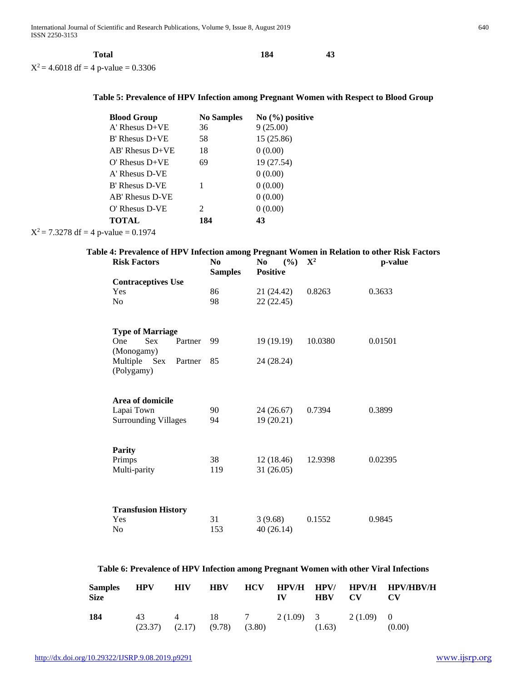| Total                                  | 184 | 43 |
|----------------------------------------|-----|----|
| $X^2 = 4.6018$ df = 4 p-value = 0.3306 |     |    |

# **Table 5: Prevalence of HPV Infection among Pregnant Women with Respect to Blood Group**

| <b>Blood Group</b>    | <b>No Samples</b>           | $No (%)$ positive |
|-----------------------|-----------------------------|-------------------|
| $A'$ Rhesus $D+VE$    | 36                          | 9(25.00)          |
| $B'$ Rhesus $D+VE$    | 58                          | 15 (25.86)        |
| $AB'$ Rhesus $D+VE$   | 18                          | 0(0.00)           |
| $O'$ Rhesus $D+VE$    | 69                          | 19 (27.54)        |
| A' Rhesus D-VE        |                             | 0(0.00)           |
| <b>B' Rhesus D-VE</b> | 1                           | 0(0.00)           |
| AB' Rhesus D-VE       |                             | 0(0.00)           |
| $O'$ Rhesus D-VE      | $\mathcal{D}_{\mathcal{L}}$ | 0(0.00)           |
| <b>TOTAL</b>          | 184                         | 43                |
| $\cdots$ $\cdots$     |                             |                   |

 $X^2 = 7.3278$  df = 4 p-value = 0.1974

| <b>Risk Factors</b>                   | N <sub>0</sub><br><b>Samples</b> | No<br>(%)<br><b>Positive</b> | ${\bf X}^2$ | p-value |
|---------------------------------------|----------------------------------|------------------------------|-------------|---------|
| <b>Contraceptives Use</b>             |                                  |                              |             |         |
| Yes                                   | 86                               | 21 (24.42)                   | 0.8263      | 0.3633  |
| No                                    | 98                               | 22(22.45)                    |             |         |
| <b>Type of Marriage</b>               |                                  |                              |             |         |
| <b>Sex</b><br><b>One</b><br>Partner   | 99                               | 19(19.19)                    | 10.0380     | 0.01501 |
| (Monogamy)                            |                                  |                              |             |         |
| Multiple Sex<br>Partner<br>(Polygamy) | 85                               | 24 (28.24)                   |             |         |
| Area of domicile                      |                                  |                              |             |         |
| Lapai Town                            | 90                               | 24 (26.67)                   | 0.7394      | 0.3899  |
| <b>Surrounding Villages</b>           | 94                               | 19 (20.21)                   |             |         |
| <b>Parity</b>                         |                                  |                              |             |         |
| Primps                                | 38                               | 12(18.46)                    | 12.9398     | 0.02395 |
| Multi-parity                          | 119                              | 31(26.05)                    |             |         |
| <b>Transfusion History</b>            |                                  |                              |             |         |
| Yes                                   | 31                               | 3(9.68)                      | 0.1552      | 0.9845  |
| No                                    | 153                              | 40(26.14)                    |             |         |

**Table 6: Prevalence of HPV Infection among Pregnant Women with other Viral Infections**

| Samples<br>Size | <b>HPV</b> | <b>HIV</b>                           |  | $\mathbf{I} \mathbf{V}$ | HBV CV |                            | HBV HCV HPV/H HPV/ HPV/H HPV/HBV/H<br>$\mathbf{C}\mathbf{V}$ |
|-----------------|------------|--------------------------------------|--|-------------------------|--------|----------------------------|--------------------------------------------------------------|
| 184             | 43         | $(23.37)$ $(2.17)$ $(9.78)$ $(3.80)$ |  |                         | (1.63) | 4 18 7 2(1.09) 3 2(1.09) 0 | (0.00)                                                       |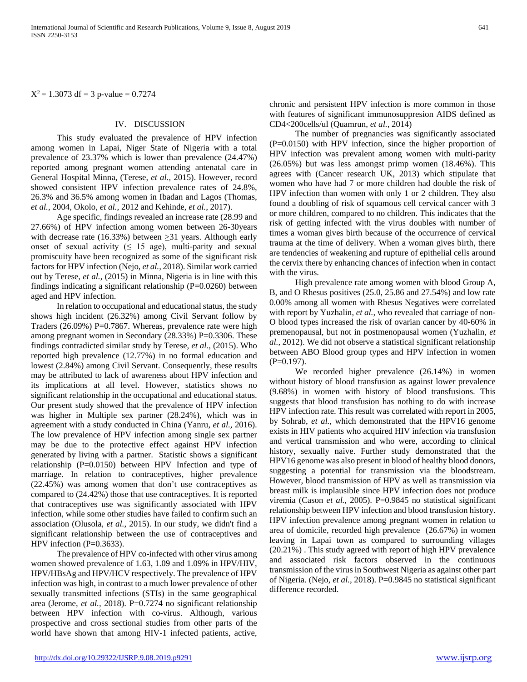$X^2 = 1.3073$  df = 3 p-value = 0.7274

## IV. DISCUSSION

 This study evaluated the prevalence of HPV infection among women in Lapai, Niger State of Nigeria with a total prevalence of 23.37% which is lower than prevalence (24.47%) reported among pregnant women attending antenatal care in General Hospital Minna, (Terese, *et al.,* 2015). However, record showed consistent HPV infection prevalence rates of 24.8%, 26.3% and 36.5% among women in Ibadan and Lagos (Thomas, *et al.,* 2004, Okolo, *et al.,* 2012 and Kehinde, *et al.,* 2017).

 Age specific, findings revealed an increase rate (28.99 and 27.66%) of HPV infection among women between 26-30years with decrease rate (16.33%) between  $\geq$ 31 years. Although early onset of sexual activity ( $\leq 15$  age), multi-parity and sexual promiscuity have been recognized as some of the significant risk factors for HPV infection (Nejo, *et al.,* 2018). Similar work carried out by Terese, *et al.,* (2015) in Minna, Nigeria is in line with this findings indicating a significant relationship (P=0.0260) between aged and HPV infection.

 In relation to occupational and educational status, the study shows high incident (26.32%) among Civil Servant follow by Traders (26.09%) P=0.7867. Whereas, prevalence rate were high among pregnant women in Secondary (28.33%) P=0.3306. These findings contradicted similar study by Terese, *et al.,* (2015). Who reported high prevalence (12.77%) in no formal education and lowest (2.84%) among Civil Servant. Consequently, these results may be attributed to lack of awareness about HPV infection and its implications at all level. However, statistics shows no significant relationship in the occupational and educational status. Our present study showed that the prevalence of HPV infection was higher in Multiple sex partner (28.24%), which was in agreement with a study conducted in China (Yanru, *et al.,* 2016). The low prevalence of HPV infection among single sex partner may be due to the protective effect against HPV infection generated by living with a partner. Statistic shows a significant relationship (P=0.0150) between HPV Infection and type of marriage. In relation to contraceptives, higher prevalence (22.45%) was among women that don't use contraceptives as compared to (24.42%) those that use contraceptives. It is reported that contraceptives use was significantly associated with HPV infection, while some other studies have failed to confirm such an association (Olusola, *et al.,* 2015). In our study, we didn't find a significant relationship between the use of contraceptives and HPV infection  $(P=0.3633)$ .

 The prevalence of HPV co-infected with other virus among women showed prevalence of 1.63, 1.09 and 1.09% in HPV/HIV, HPV/HBsAg and HPV/HCV respectively. The prevalence of HPV infection was high, in contrast to a much lower prevalence of other sexually transmitted infections (STIs) in the same geographical area (Jerome, *et al.,* 2018). P=0.7274 no significant relationship between HPV infection with co-virus. Although, various prospective and cross sectional studies from other parts of the world have shown that among HIV-1 infected patients, active, chronic and persistent HPV infection is more common in those with features of significant immunosuppresion AIDS defined as CD4<200cells/ul (Quamrun, *et al.,* 2014)

 The number of pregnancies was significantly associated (P=0.0150) with HPV infection, since the higher proportion of HPV infection was prevalent among women with multi-parity (26.05%) but was less amongst primp women (18.46%). This agrees with (Cancer research UK, 2013) which stipulate that women who have had 7 or more children had double the risk of HPV infection than women with only 1 or 2 children. They also found a doubling of risk of squamous cell cervical cancer with 3 or more children, compared to no children. This indicates that the risk of getting infected with the virus doubles with number of times a woman gives birth because of the occurrence of cervical trauma at the time of delivery. When a woman gives birth, there are tendencies of weakening and rupture of epithelial cells around the cervix there by enhancing chances of infection when in contact with the virus.

 High prevalence rate among women with blood Group A, B, and O Rhesus positives (25.0, 25.86 and 27.54%) and low rate 0.00% among all women with Rhesus Negatives were correlated with report by Yuzhalin, *et al.,* who revealed that carriage of non-O blood types increased the risk of ovarian cancer by 40-60% in premenopausal, but not in postmenopausal women (Yuzhalin, *et al.,* 2012). We did not observe a statistical significant relationship between ABO Blood group types and HPV infection in women  $(P=0.197)$ .

 We recorded higher prevalence (26.14%) in women without history of blood transfusion as against lower prevalence (9.68%) in women with history of blood transfusions. This suggests that blood transfusion has nothing to do with increase HPV infection rate. This result was correlated with report in 2005, by Sohrab, *et al.,* which demonstrated that the HPV16 genome exists in HIV patients who acquired HIV infection via transfusion and vertical transmission and who were, according to clinical history, sexually naive. Further study demonstrated that the HPV16 genome was also present in blood of healthy blood donors, suggesting a potential for transmission via the bloodstream. However, blood transmission of HPV as well as transmission via breast milk is implausible since HPV infection does not produce viremia (Cason *et al., 2005)*. P=0.9845 no statistical significant relationship between HPV infection and blood transfusion history. HPV infection prevalence among pregnant women in relation to area of domicile, recorded high prevalence (26.67%) in women leaving in Lapai town as compared to surrounding villages (20.21%) . This study agreed with report of high HPV prevalence and associated risk factors observed in the continuous transmission of the virus in Southwest Nigeria as against other part of Nigeria. (Nejo, *et al.,* 2018). P=0.9845 no statistical significant difference recorded.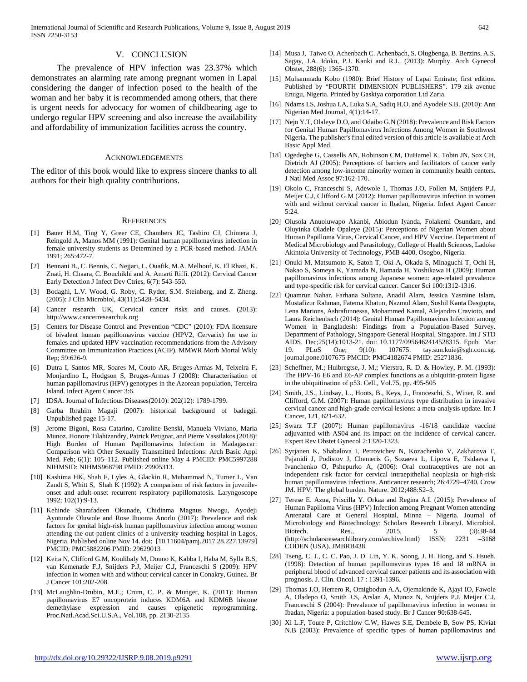#### V. CONCLUSION

 The prevalence of HPV infection was 23.37% which demonstrates an alarming rate among pregnant women in Lapai considering the danger of infection posed to the health of the woman and her baby it is recommended among others, that there is urgent needs for advocacy for women of childbearing age to undergo regular HPV screening and also increase the availability and affordability of immunization facilities across the country.

#### **ACKNOWLEDGEMENTS**

The editor of this book would like to express sincere thanks to all authors for their high quality contributions.

#### **REFERENCES**

- [1] Bauer H.M, Ting Y, Greer CE, Chambers JC, Tashiro CJ, Chimera J, Reingold A, Manos MM (1991): Genital human papillomavirus infection in female university students as Determined by a PCR-based method. JAMA 1991; 265:472-7.
- [2] Bennani B., C. Bennis, C. Nejjari, L. Ouafik, M.A. Melhouf, K. El Rhazi, K. Znati, H. Chaara, C. Bouchikhi and A. Amarti Riffi. (2012): Cervical Cancer Early Detection J Infect Dev Ctries, 6(7): 543-550.
- [3] Bodaghi, L.V. Wood, G. Roby, C. Ryder, S.M. Steinberg, and Z. Zheng. (2005): J Clin Microbiol, 43(11):5428–5434.
- [4] Cancer research UK, Cervical cancer risks and causes. (2013): http://www.cancerresearchuk.org
- [5] Centers for Disease Control and Prevention "CDC" (2010): FDA licensure of bivalent human papillomavirus vaccine (HPV2, Cervarix) for use in females and updated HPV vaccination recommendations from the Advisory Committee on Immunization Practices (ACIP). MMWR Morb Mortal Wkly Rep; 59:626-9.
- [6] Dutra I, Santos MR, Soares M, Couto AR, Bruges-Armas M, Teixeira F, Monjardino L, Hodgson S, Bruges-Armas J (2008): Characterisation of human papillomavirus (HPV) genotypes in the Azorean population, Terceira Island. Infect Agent Cancer 3:6.
- [7] IDSA. Journal of Infectious Diseases(2010): 202(12): 1789-1799.
- [8] Garba Ibrahim Magaji (2007): historical background of badeggi. Unpublished page 15-17.
- [9] Jerome Bigoni, Rosa Catarino, Caroline Benski, Manuela Viviano, Maria Munoz, Honore Tilahizandry, Patrick Petignat, and Pierre Vassilakos (2018): High Burden of Human Papillomavirus Infection in Madagascar: Comparison with Other Sexually Transmitted Infections: Arch Basic Appl Med. Feb; 6(1): 105–112. Published online May 4 PMCID: PMC5997288 NIHMSID: NIHMS968798 PMID: 29905313.
- [10] Kashima HK, Shah F, Lyles A, Glackin R, Muhammad N, Turner L, Van Zandt S, Whitt S, Shah K (1992): A comparison of risk factors in juvenileonset and adult-onset recurrent respiratory papillomatosis. Laryngoscope 1992; 102(1):9-13.
- [11] Kehinde Sharafadeen Okunade, Chidinma Magnus Nwogu, Ayodeji Ayotunde Oluwole and Rose Ihuoma Anorlu (2017): Prevalence and risk factors for genital high-risk human papillomavirus infection among women attending the out-patient clinics of a university teaching hospital in Lagos, Nigeria. Published online Nov 14. doi: [10.11604/pamj.2017.28.227.13979] PMCID: PMC5882206 PMID: 29629013
- [12] Keita N, Clifford G.M, Koulibaly M, Douno K, Kabba I, Haba M, Sylla B.S, van Kemenade F.J, Snijders P.J, Meijer C.J, Franceschi S (2009): HPV infection in women with and without cervical cancer in Conakry, Guinea. Br J Cancer 101:202-208.
- [13] McLaughlin-Drubin, M.E.; Crum, C. P. & Munger, K. (2011): Human papillomavirus E7 oncoprotein induces KDM6A and KDM6B histone demethylase expression and causes epigenetic reprogramming. Proc.Natl.Acad.Sci.U.S.A., Vol.108, pp. 2130-2135
- [14] Musa J, Taiwo O, Achenbach C. Achenbach, S. Olugbenga, B. Berzins, A.S. Sagay, J.A. Idoko, P.J. Kanki and R.L. (2013): Murphy. Arch Gynecol Obstet, 288(6): 1365-1370.
- [15] Muhammadu Kobo (1980): Brief History of Lapai Emirate; first edition. Published by "FOURTH DIMENSION PUBLISHERS". 179 zik avenue Enugu, Nigeria. Printed by Gaskiya corporation Ltd Zaria.
- [16] Ndams I.S, Joshua I.A, Luka S.A, Sadiq H.O. and Ayodele S.B. (2010): Ann Nigerian Med Journal, 4(1):14-17.
- [17] Nejo Y.T, Olaleye D.O, and Odaibo G.N (2018): Prevalence and Risk Factors for Genital Human Papillomavirus Infections Among Women in Southwest Nigeria. The publisher's final edited version of this article is available at Arch Basic Appl Med.
- [18] Ogedegbe G, Cassells AN, Robinson CM, DuHamel K, Tobin JN, Sox CH, Dietrich AJ (2005): Perceptions of barriers and facilitators of cancer early detection among low-income minority women in community health centers. J Natl Med Assoc 97:162-170.
- [19] Okolo C, Franceschi S, Adewole I, Thomas J.O, Follen M, Snijders P.J, Meijer C.J, Clifford G.M (2012): Human papillomavirus infection in women with and without cervical cancer in Ibadan, Nigeria. Infect Agent Cancer  $5:24$
- [20] Olusola Anuoluwapo Akanbi, Abiodun Iyanda, Folakemi Osundare, and Oluyinka Oladele Opaleye (2015): Perceptions of Nigerian Women about Human Papilloma Virus, Cervical Cancer, and HPV Vaccine. Department of Medical Microbiology and Parasitology, College of Health Sciences, Ladoke Akintola University of Technology, PMB 4400, Osogbo, Nigeria.
- [21] Onuki M, Matsumoto K, Satoh T, Oki A, Okada S, Minaguchi T, Ochi H, Nakao S, Someya K, Yamada N, Hamada H, Yoshikawa H (2009): Human papillomavirus infections among Japanese women: age-related prevalence and type-specific risk for cervical cancer. Cancer Sci 100:1312-1316.
- [22] Quamrun Nahar, Farhana Sultana, Anadil Alam, Jessica Yasmine Islam, Mustafizur Rahman, Fatema Khatun, Nazmul Alam, Sushil Kanta Dasgupta, Lena Marions, Ashrafunnessa, Mohammed Kamal, Alejandro Cravioto, and Laura Reichenbach (2014): Genital Human Papillomavirus Infection among Women in Bangladesh: Findings from a Population-Based Survey. Department of Pathology, Singapore General Hospital, Singapore. Int J STD AIDS. Dec;25(14):1013-21. doi: 10.1177/0956462414528315. Epub Mar 19. PLoS One; 9(10): 107675. tay.sun.kuie@sgh.com.sg. journal.pone.0107675 PMCID: PMC4182674 PMID: 25271836.
- [23] Scheffner, M.; Huibregtse, J. M.; Vierstra, R. D. & Howley, P. M. (1993): The HPV-16 E6 and E6-AP complex functions as a ubiquitin-protein ligase in the ubiquitination of p53. Cell., Vol.75, pp. 495-505
- [24] Smith, J.S., Lindsay, L., Hoots, B., Keys, J., Franceschi, S., Winer, R. and Clifford, G.M. (2007): Human papillomavirus type distribution in invasive cervical cancer and high-grade cervical lesions: a meta-analysis update. Int J Cancer, 121, 621-632.
- [25] Swarz T.F (2007): Human papillomavirus -16/18 candidate vaccine adjuvanted with AS04 and its impact on the incidence of cervical cancer. Expert Rev Obstet Gynecol 2:1320-1323.
- [26] Syrjanen K, Shabalova I, Petrovichev N, Kozachenko V, Zakharova T, Pajanidi J, Podistov J, Chemeris G, Sozaeva L, Lipova E, Tsidaeva I, Ivanchenko O, Pshepurko A, (2006): Oral contraceptives are not an independent risk factor for cervical intraepithelial neoplasia or high-risk human papillomavirus infections. Anticancer research; 26:4729–4740. Crow JM. HPV: The global burden. Nature. 2012;488:S2–3.
- [27] Terese E. Azua, Priscilla Y. Orkaa and Regina A.I. (2015): Prevalence of Human Papilloma Virus (HPV) Infection among Pregnant Women attending Antenatal Care at General Hospital, Minna – Nigeria. Journal of Microbiology and Biotechnology: Scholars Research LibraryJ. Microbiol.<br>Biotech. Res., 2015, 5 (3):38-44 Res., 2015, 5 (3):38-44<br>archlibrary.com/archive.html) ISSN; 2231 -3168 (http://scholarsresearchlibrary.com/archive.html) ISSN; CODEN (USA). JMBRB438.
- [28] Tseng, C. J., C. C. Pao, J. D. Lin, Y. K. Soong, J. H. Hong, and S. Hsueh. (1998): Detection of human papillomavirus types 16 and 18 mRNA in peripheral blood of advanced cervical cancer patients and its association with prognosis. J. Clin. Oncol. 17 : 1391-1396.
- [29] Thomas J.O, Herrero R, Omigbodun A.A, Ojemakinde K, Ajayi IO, Fawole A, Oladepo O, Smith J.S, Arslan A, Munoz N, Snijders P.J, Meijer C.J, Franceschi S (2004): Prevalence of papillomavirus infection in women in Ibadan, Nigeria: a population-based study. Br J Cancer 90:638-645.
- [30] Xi L.F, Toure P, Critchlow C.W, Hawes S.E, Dembele B, Sow PS, Kiviat N.B (2003): Prevalence of specific types of human papillomavirus and